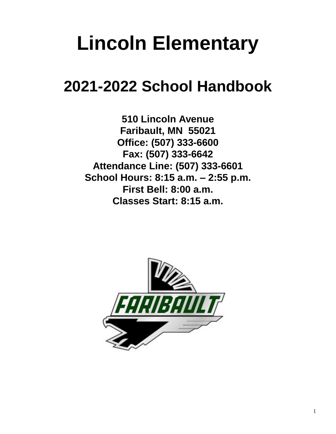## **Lincoln Elementary**

## **2021-2022 School Handbook**

**510 Lincoln Avenue Faribault, MN 55021 Office: (507) 333-6600 Fax: (507) 333-6642 Attendance Line: (507) 333-6601 School Hours: 8:15 a.m. – 2:55 p.m. First Bell: 8:00 a.m. Classes Start: 8:15 a.m.**

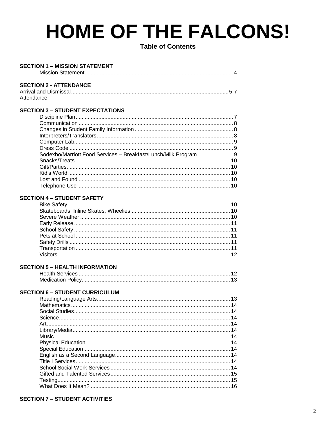## **HOME OF THE FALCONS!**

**Table of Contents** 

 $\lambda$ 

#### **SECTION 1 - MISSION STATEMENT** Miccion Statement

|                               | <del>۳ (۱۷۱۱ Sulter Indian Indian Indian Indian Indian Indian Indian Indian Indian Indian Indian Indian Indian Indian In</del> |
|-------------------------------|--------------------------------------------------------------------------------------------------------------------------------|
| <b>SECTION 2 - ATTENDANCE</b> |                                                                                                                                |
|                               |                                                                                                                                |

#### Attendance

#### **SECTION 3 - STUDENT EXPECTATIONS**

| Sodexho/Marriott Food Services - Breakfast/Lunch/Milk Program  9 |  |
|------------------------------------------------------------------|--|
|                                                                  |  |
|                                                                  |  |
|                                                                  |  |
|                                                                  |  |
|                                                                  |  |
|                                                                  |  |

#### **SECTION 4 - STUDENT SAFETY**

#### **SECTION 5 - HEALTH INFORMATION**

#### **SECTION 6 - STUDENT CURRICULUM**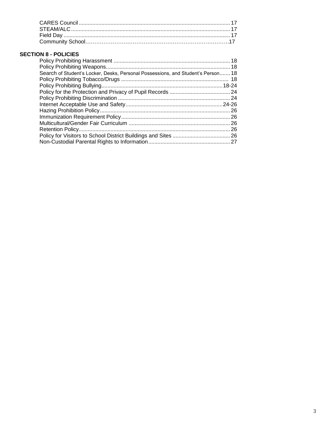#### **SECTION 8 - POLICIES**

| Search of Student's Locker, Desks, Personal Possessions, and Student's Person 18 |  |
|----------------------------------------------------------------------------------|--|
|                                                                                  |  |
|                                                                                  |  |
|                                                                                  |  |
|                                                                                  |  |
|                                                                                  |  |
|                                                                                  |  |
|                                                                                  |  |
|                                                                                  |  |
|                                                                                  |  |
|                                                                                  |  |
|                                                                                  |  |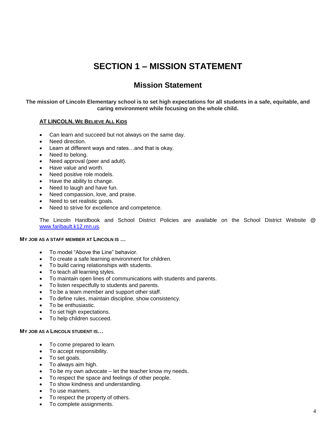## **SECTION 1 – MISSION STATEMENT**

### **Mission Statement**

#### **The mission of Lincoln Elementary school is to set high expectations for all students in a safe, equitable, and caring environment while focusing on the whole child.**

#### **AT LINCOLN, WE BELIEVE ALL KIDS**

- Can learn and succeed but not always on the same day.
- Need direction.
- Learn at different ways and rates…and that is okay.
- Need to belong.
- Need approval (peer and adult).
- Have value and worth.
- Need positive role models.
- Have the ability to change.
- Need to laugh and have fun.
- Need compassion, love, and praise.
- Need to set realistic goals.
- Need to strive for excellence and competence.

The Lincoln Handbook and School District Policies are available on the School District Website @ [www.faribault.k12.mn.us.](http://www.faribault.k12.mn.us/)

#### **MY JOB AS A STAFF MEMBER AT LINCOLN IS …**

- To model "Above the Line" behavior.
- To create a safe learning environment for children.
- To build caring relationships with students.
- To teach all learning styles.
- To maintain open lines of communications with students and parents.
- To listen respectfully to students and parents.
- To be a team member and support other staff.
- To define rules, maintain discipline, show consistency.
- To be enthusiastic.
- To set high expectations.
- To help children succeed.

#### **MY JOB AS A LINCOLN STUDENT IS…**

- To come prepared to learn.
- To accept responsibility.
- To set goals.
- To always aim high.
- To be my own advocate let the teacher know my needs.
- To respect the space and feelings of other people.
- To show kindness and understanding.
- To use manners.
- To respect the property of others.
- To complete assignments.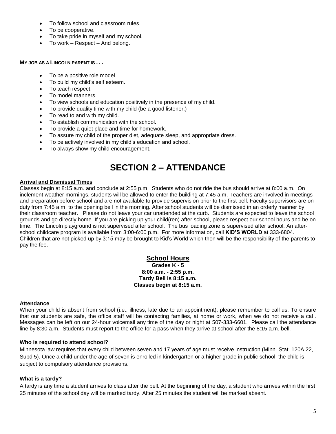- To follow school and classroom rules.
- To be cooperative.
- To take pride in myself and my school.
- To work Respect And belong.

#### **MY JOB AS A LINCOLN PARENT IS . . .**

- To be a positive role model.
- To build my child's self esteem.
- To teach respect.
- To model manners.
- To view schools and education positively in the presence of my child.
- To provide quality time with my child (be a good listener.)
- To read to and with my child.
- To establish communication with the school.
- To provide a quiet place and time for homework.
- To assure my child of the proper diet, adequate sleep, and appropriate dress.
- To be actively involved in my child's education and school.
- To always show my child encouragement.

## **SECTION 2 – ATTENDANCE**

#### **Arrival and Dismissal Times**

Classes begin at 8:15 a.m. and conclude at 2:55 p.m. Students who do not ride the bus should arrive at 8:00 a.m. On inclement weather mornings, students will be allowed to enter the building at 7:45 a.m. Teachers are involved in meetings and preparation before school and are not available to provide supervision prior to the first bell. Faculty supervisors are on duty from 7:45 a.m. to the opening bell in the morning. After school students will be dismissed in an orderly manner by their classroom teacher. Please do not leave your car unattended at the curb. Students are expected to leave the school grounds and go directly home. If you are picking up your child(ren) after school, please respect our school hours and be on time. The Lincoln playground is not supervised after school. The bus loading zone is supervised after school. An afterschool childcare program is available from 3:00-6:00 p.m. For more information, call **KID'S WORLD** at 333-6804. Children that are not picked up by 3:15 may be brought to Kid's World which then will be the responsibility of the parents to pay the fee.

#### **School Hours**

**Grades K - 5 8:00 a.m. - 2:55 p.m. Tardy Bell is 8:15 a.m. Classes begin at 8:15 a.m.**

#### **Attendance**

When your child is absent from school (i.e., illness, late due to an appointment), please remember to call us. To ensure that our students are safe, the office staff will be contacting families, at home or work, when we do not receive a call. Messages can be left on our 24-hour voicemail any time of the day or night at 507-333-6601. Please call the attendance line by 8:30 a.m. Students must report to the office for a pass when they arrive at school after the 8:15 a.m. bell.

#### **Who is required to attend school?**

Minnesota law requires that every child between seven and 17 years of age must receive instruction (Minn. Stat. 120A.22, Subd 5). Once a child under the age of seven is enrolled in kindergarten or a higher grade in public school, the child is subject to compulsory attendance provisions.

#### **What is a tardy?**

A tardy is any time a student arrives to class after the bell. At the beginning of the day, a student who arrives within the first 25 minutes of the school day will be marked tardy. After 25 minutes the student will be marked absent.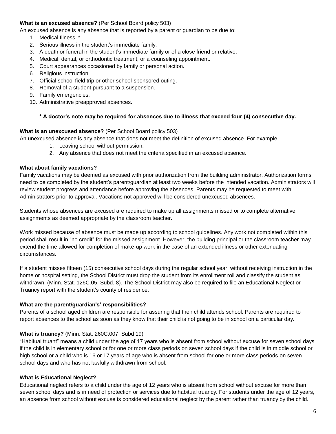#### **What is an excused absence?** (Per School Board policy 503)

An excused absence is any absence that is reported by a parent or guardian to be due to:

- 1. Medical Illness. \*
- 2. Serious illness in the student's immediate family.
- 3. A death or funeral in the student's immediate family or of a close friend or relative.
- 4. Medical, dental, or orthodontic treatment, or a counseling appointment.
- 5. Court appearances occasioned by family or personal action.
- 6. Religious instruction.
- 7. Official school field trip or other school-sponsored outing.
- 8. Removal of a student pursuant to a suspension.
- 9. Family emergencies.
- 10. Administrative preapproved absences.

#### **\* A doctor's note may be required for absences due to illness that exceed four (4) consecutive day.**

#### **What is an unexcused absence?** (Per School Board policy 503)

An unexcused absence is any absence that does not meet the definition of excused absence. For example,

- 1. Leaving school without permission.
- 2. Any absence that does not meet the criteria specified in an excused absence.

#### **What about family vacations?**

Family vacations may be deemed as excused with prior authorization from the building administrator. Authorization forms need to be completed by the student's parent/guardian at least two weeks before the intended vacation. Administrators will review student progress and attendance before approving the absences. Parents may be requested to meet with Administrators prior to approval. Vacations not approved will be considered unexcused absences.

Students whose absences are excused are required to make up all assignments missed or to complete alternative assignments as deemed appropriate by the classroom teacher.

Work missed because of absence must be made up according to school guidelines. Any work not completed within this period shall result in "no credit" for the missed assignment. However, the building principal or the classroom teacher may extend the time allowed for completion of make-up work in the case of an extended illness or other extenuating circumstances.

If a student misses fifteen (15) consecutive school days during the regular school year, without receiving instruction in the home or hospital setting, the School District must drop the student from its enrollment roll and classify the student as withdrawn. (Minn. Stat. 126C.05, Subd. 8). The School District may also be required to file an Educational Neglect or Truancy report with the student's county of residence.

#### **What are the parent/guardian's' responsibilities?**

Parents of a school aged children are responsible for assuring that their child attends school. Parents are required to report absences to the school as soon as they know that their child is not going to be in school on a particular day.

#### **What is truancy?** (Minn. Stat. 260C.007, Subd 19)

"Habitual truant" means a child under the age of 17 years who is absent from school without excuse for seven school days if the child is in elementary school or for one or more class periods on seven school days if the child is in middle school or high school or a child who is 16 or 17 years of age who is absent from school for one or more class periods on seven school days and who has not lawfully withdrawn from school.

#### **What is Educational Neglect?**

Educational neglect refers to a child under the age of 12 years who is absent from school without excuse for more than seven school days and is in need of protection or services due to habitual truancy. For students under the age of 12 years, an absence from school without excuse is considered educational neglect by the parent rather than truancy by the child.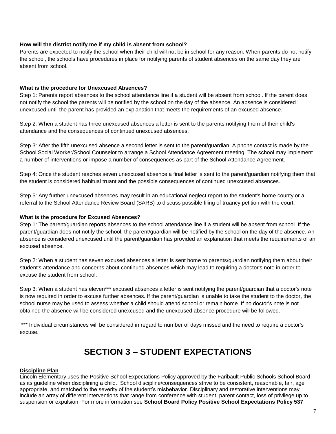#### **How will the district notify me if my child is absent from school?**

Parents are expected to notify the school when their child will not be in school for any reason. When parents do not notify the school, the schools have procedures in place for notifying parents of student absences on the same day they are absent from school.

#### **What is the procedure for Unexcused Absences?**

Step 1: Parents report absences to the school attendance line if a student will be absent from school. If the parent does not notify the school the parents will be notified by the school on the day of the absence. An absence is considered unexcused until the parent has provided an explanation that meets the requirements of an excused absence.

Step 2: When a student has three unexcused absences a letter is sent to the parents notifying them of their child's attendance and the consequences of continued unexcused absences.

Step 3: After the fifth unexcused absence a second letter is sent to the parent/guardian. A phone contact is made by the School Social Worker/School Counselor to arrange a School Attendance Agreement meeting. The school may implement a number of interventions or impose a number of consequences as part of the School Attendance Agreement.

Step 4: Once the student reaches seven unexcused absence a final letter is sent to the parent/guardian notifying them that the student is considered habitual truant and the possible consequences of continued unexcused absences.

Step 5: Any further unexcused absences may result in an educational neglect report to the student's home county or a referral to the School Attendance Review Board (SARB) to discuss possible filing of truancy petition with the court.

#### **What is the procedure for Excused Absences?**

Step 1: The parent/guardian reports absences to the school attendance line if a student will be absent from school. If the parent/guardian does not notify the school, the parent/guardian will be notified by the school on the day of the absence. An absence is considered unexcused until the parent/guardian has provided an explanation that meets the requirements of an excused absence.

Step 2: When a student has seven excused absences a letter is sent home to parents/guardian notifying them about their student's attendance and concerns about continued absences which may lead to requiring a doctor's note in order to excuse the student from school.

Step 3: When a student has eleven\*\*\* excused absences a letter is sent notifying the parent/guardian that a doctor's note is now required in order to excuse further absences. If the parent/guardian is unable to take the student to the doctor, the school nurse may be used to assess whether a child should attend school or remain home. If no doctor's note is not obtained the absence will be considered unexcused and the unexcused absence procedure will be followed.

\*\*\* Individual circumstances will be considered in regard to number of days missed and the need to require a doctor's excuse.

### **SECTION 3 – STUDENT EXPECTATIONS**

#### **Discipline Plan**

Lincoln Elementary uses the Positive School Expectations Policy approved by the Faribault Public Schools School Board as its guideline when disciplining a child. School discipline/consequences strive to be consistent, reasonable, fair, age appropriate, and matched to the severity of the student's misbehavior. Disciplinary and restorative interventions may include an array of different interventions that range from conference with student, parent contact, loss of privilege up to suspension or expulsion. For more information see **School Board Policy Positive School Expectations Policy 537**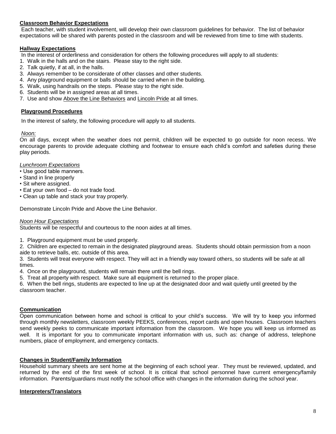#### **Classroom Behavior Expectations**

Each teacher, with student involvement, will develop their own classroom guidelines for behavior. The list of behavior expectations will be shared with parents posted in the classroom and will be reviewed from time to time with students.

#### **Hallway Expectations**

In the interest of orderliness and consideration for others the following procedures will apply to all students:

- 1. Walk in the halls and on the stairs. Please stay to the right side.
- 2. Talk quietly, if at all, in the halls.
- 3. Always remember to be considerate of other classes and other students.
- 4. Any playground equipment or balls should be carried when in the building.
- 5. Walk, using handrails on the steps. Please stay to the right side.
- 6. Students will be in assigned areas at all times.
- 7. Use and show Above the Line Behaviors and Lincoln Pride at all times.

#### **Playground Procedures**

In the interest of safety, the following procedure will apply to all students.

#### *Noon:*

On all days, except when the weather does not permit, children will be expected to go outside for noon recess. We encourage parents to provide adequate clothing and footwear to ensure each child's comfort and safeties during these play periods.

#### *Lunchroom Expectations*

- Use good table manners.
- Stand in line properly
- Sit where assigned.
- Eat your own food do not trade food.
- Clean up table and stack your tray properly.

Demonstrate Lincoln Pride and Above the Line Behavior.

#### *Noon Hour Expectations*

Students will be respectful and courteous to the noon aides at all times.

1. Playground equipment must be used properly.

2. Children are expected to remain in the designated playground areas. Students should obtain permission from a noon aide to retrieve balls, etc. outside of this area.

3. Students will treat everyone with respect. They will act in a friendly way toward others, so students will be safe at all times.

4. Once on the playground, students will remain there until the bell rings.

5. Treat all property with respect. Make sure all equipment is returned to the proper place.

6. When the bell rings, students are expected to line up at the designated door and wait quietly until greeted by the classroom teacher.

#### **Communication**

Open communication between home and school is critical to your child's success. We will try to keep you informed through monthly newsletters, classroom weekly PEEKS, conferences, report cards and open houses. Classroom teachers send weekly peeks to communicate important information from the classroom. We hope you will keep us informed as well. It is important for you to communicate important information with us, such as: change of address, telephone numbers, place of employment, and emergency contacts.

#### **Changes in Student/Family Information**

Household summary sheets are sent home at the beginning of each school year. They must be reviewed, updated, and returned by the end of the first week of school. It is critical that school personnel have current emergency/family information. Parents/guardians must notify the school office with changes in the information during the school year.

#### **Interpreters/Translators**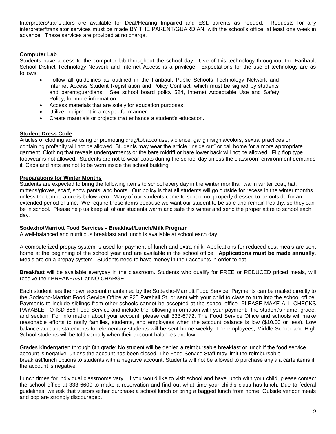Interpreters/translators are available for Deaf/Hearing Impaired and ESL parents as needed. Requests for any interpreter/translator services must be made BY THE PARENT/GUARDIAN, with the school's office, at least one week in advance. These services are provided at no charge.

#### **Computer Lab**

Students have access to the computer lab throughout the school day. Use of this technology throughout the Faribault School District Technology Network and Internet Access is a privilege. Expectations for the use of technology are as follows:

- Follow all guidelines as outlined in the Faribault Public Schools Technology Network and Internet Access Student Registration and Policy Contract, which must be signed by students and parent/guardians. See school board policy 524, Internet Acceptable Use and Safety Policy, for more information.
- Access materials that are solely for education purposes.
- Utilize equipment in a respectful manner.
- Create materials or projects that enhance a student's education.

#### **Student Dress Code**

Articles of clothing advertising or promoting drug/tobacco use, violence, gang insignia/colors, sexual practices or containing profanity will not be allowed. Students may wear the article "inside out" or call home for a more appropriate garment. Clothing that reveals undergarments or the bare midriff or bare lower back will not be allowed. Flip flop type footwear is not allowed. Students are not to wear coats during the school day unless the classroom environment demands it. Caps and hats are not to be worn inside the school building.

#### **Preparations for Winter Months**

Students are expected to bring the following items to school every day in the winter months: warm winter coat, hat, mittens/gloves, scarf, snow pants, and boots. Our policy is that all students will go outside for recess in the winter months unless the temperature is below zero. Many of our students come to school not properly dressed to be outside for an extended period of time. We require these items because we want our student to be safe and remain healthy, so they can be in school. Please help us keep all of our students warm and safe this winter and send the proper attire to school each day.

#### **Sodexho/Marriott Food Services - Breakfast/Lunch/Milk Program**

A well-balanced and nutritious breakfast and lunch is available at school each day.

A computerized prepay system is used for payment of lunch and extra milk. Applications for reduced cost meals are sent home at the beginning of the school year and are available in the school office. **Applications must be made annually.** Meals are on a prepay system. Students need to have money in their accounts in order to eat.

**Breakfast** will be available everyday in the classroom. Students who qualify for FREE or REDUCED priced meals, will receive their BREAKFAST at NO CHARGE.

Each student has their own account maintained by the Sodexho-Marriott Food Service. Payments can be mailed directly to the Sodexho-Marriott Food Service Office at 925 Parshall St. or sent with your child to class to turn into the school office. Payments to include siblings from other schools cannot be accepted at the school office. PLEASE MAKE ALL CHECKS PAYABLE TO ISD 656 Food Service and include the following information with your payment: the student's name, grade, and section. For information about your account, please call 333-6772. The Food Service Office and schools will make reasonable efforts to notify families, students, and employees when the account balance is low (\$10.00 or less). Low balance account statements for elementary students will be sent home weekly. The employees, Middle School and High School students will be told verbally when their account balances are low.

Grades Kindergarten through 8th grade: No student will be denied a reimbursable breakfast or lunch if the food service account is negative, unless the account has been closed. The Food Service Staff may limit the reimbursable breakfast/lunch options to students with a negative account. Students will not be allowed to purchase any ala carte items if the account is negative.

Lunch times for individual classrooms vary. If you would like to visit school and have lunch with your child, please contact the school office at 333-6600 to make a reservation and find out what time your child's class has lunch. Due to federal guidelines, we ask that visitors either purchase a school lunch or bring a bagged lunch from home. Outside vendor meals and pop are strongly discouraged.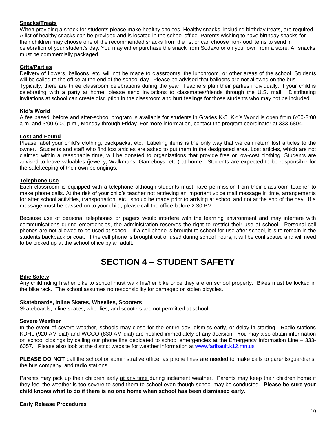#### **Snacks/Treats**

When providing a snack for students please make healthy choices. Healthy snacks, including birthday treats, are required. A list of healthy snacks can be provided and is located in the school office. Parents wishing to have birthday snacks for their children may choose one of the recommended snacks from the list or can choose non-food items to send in celebration of your student's day. You may either purchase the snack from Sodexo or on your own from a store. All snacks must be commercially packaged.

#### **Gifts/Parties**

Delivery of flowers, balloons, etc. will not be made to classrooms, the lunchroom, or other areas of the school. Students will be called to the office at the end of the school day. Please be advised that balloons are not allowed on the bus. Typically, there are three classroom celebrations during the year. Teachers plan their parties individually. If your child is celebrating with a party at home, please send invitations to classmates/friends through the U.S. mail. Distributing invitations at school can create disruption in the classroom and hurt feelings for those students who may not be included.

#### **Kid's World**

A fee based, before and after-school program is available for students in Grades K-5. Kid's World is open from 6:00-8:00 a.m. and 3:00-6:00 p.m., Monday through Friday. For more information, contact the program coordinator at 333-6804.

#### **Lost and Found**

Please label your child's clothing, backpacks, etc. Labeling items is the only way that we can return lost articles to the owner. Students and staff who find lost articles are asked to put them in the designated area. Lost articles, which are not claimed within a reasonable time, will be donated to organizations that provide free or low-cost clothing. Students are advised to leave valuables (jewelry, Walkmans, Gameboys, etc.) at home. Students are expected to be responsible for the safekeeping of their own belongings.

#### **Telephone Use**

Each classroom is equipped with a telephone although students must have permission from their classroom teacher to make phone calls. At the risk of your child's teacher not retrieving an important voice mail message in time, arrangements for after school activities, transportation, etc., should be made prior to arriving at school and not at the end of the day. If a message must be passed on to your child, please call the office before 2:30 PM.

Because use of personal telephones or pagers would interfere with the learning environment and may interfere with communications during emergencies, the administration reserves the right to restrict their use at school. Personal cell phones are not allowed to be used at school. If a cell phone is brought to school for use after school, it is to remain in the students backpack or coat. If the cell phone is brought out or used during school hours, it will be confiscated and will need to be picked up at the school office by an adult.

## **SECTION 4 – STUDENT SAFETY**

#### **Bike Safety**

Any child riding his/her bike to school must walk his/her bike once they are on school property. Bikes must be locked in the bike rack. The school assumes no responsibility for damaged or stolen bicycles.

#### **Skateboards, Inline Skates, Wheelies, Scooters**

Skateboards, inline skates, wheelies, and scooters are not permitted at school.

#### **Severe Weather**

In the event of severe weather, schools may close for the entire day, dismiss early, or delay in starting. Radio stations KDHL (920 AM dial) and WCCO (830 AM dial) are notified immediately of any decision. You may also obtain information on school closings by calling our phone line dedicated to school emergencies at the Emergency Information Line – 333- 6057. Please also look at the district website for weather information at [www.faribault.k12.mn.us](http://www.faribault.k12.mn.us/)

**PLEASE DO NOT** call the school or administrative office, as phone lines are needed to make calls to parents/guardians, the bus company, and radio stations.

Parents may pick up their children early at any time during inclement weather. Parents may keep their children home if they feel the weather is too severe to send them to school even though school may be conducted. **Please be sure your child knows what to do if there is no one home when school has been dismissed early.**

#### **Early Release Procedures**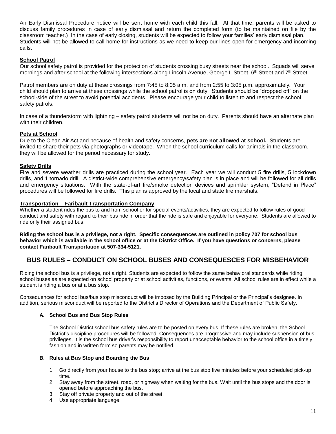An Early Dismissal Procedure notice will be sent home with each child this fall. At that time, parents will be asked to discuss family procedures in case of early dismissal and return the completed form (to be maintained on file by the classroom teacher.) In the case of early closing, students will be expected to follow your families' early dismissal plan. Students will not be allowed to call home for instructions as we need to keep our lines open for emergency and incoming calls.

#### **School Patrol**

Our school safety patrol is provided for the protection of students crossing busy streets near the school. Squads will serve mornings and after school at the following intersections along Lincoln Avenue, George L Street, 6<sup>th</sup> Street and 7<sup>th</sup> Street.

Patrol members are on duty at these crossings from 7:45 to 8:05 a.m. and from 2:55 to 3:05 p.m. approximately. Your child should plan to arrive at these crossings while the school patrol is on duty. Students should be "dropped off" on the school-side of the street to avoid potential accidents. Please encourage your child to listen to and respect the school safety patrols.

In case of a thunderstorm with lightning – safety patrol students will not be on duty. Parents should have an alternate plan with their children.

#### **Pets at School**

Due to the Clean Air Act and because of health and safety concerns, **pets are not allowed at school.** Students are invited to share their pets via photographs or videotape. When the school curriculum calls for animals in the classroom, they will be allowed for the period necessary for study.

#### **Safety Drills**

Fire and severe weather drills are practiced during the school year. Each year we will conduct 5 fire drills, 5 lockdown drills, and 1 tornado drill. A district-wide comprehensive emergency/safety plan is in place and will be followed for all drills and emergency situations. With the state-of-art fire/smoke detection devices and sprinkler system, "Defend in Place" procedures will be followed for fire drills. This plan is approved by the local and state fire marshals.

#### **Transportation – Faribault Transportation Company**

Whether a student rides the bus to and from school or for special events/activities, they are expected to follow rules of good conduct and safety with regard to their bus ride in order that the ride is safe and enjoyable for everyone. Students are allowed to ride only their assigned bus.

**Riding the school bus is a privilege, not a right. Specific consequences are outlined in policy 707 for school bus behavior which is available in the school office or at the District Office. If you have questions or concerns, please contact Faribault Transportation at 507-334-5121.**

#### **BUS RULES – CONDUCT ON SCHOOL BUSES AND CONSEQUESCES FOR MISBEHAVIOR**

Riding the school bus is a privilege, not a right. Students are expected to follow the same behavioral standards while riding school buses as are expected on school property or at school activities, functions, or events. All school rules are in effect while a student is riding a bus or at a bus stop.

Consequences for school bus/bus stop misconduct will be imposed by the Building Principal or the Principal's designee. In addition, serious misconduct will be reported to the District's Director of Operations and the Department of Public Safety.

#### **A. School Bus and Bus Stop Rules**

The School District school bus safety rules are to be posted on every bus. If these rules are broken, the School District's discipline procedures will be followed. Consequences are progressive and may include suspension of bus privileges. It is the school bus driver's responsibility to report unacceptable behavior to the school office in a timely fashion and in written form so parents may be notified.

#### **B. Rules at Bus Stop and Boarding the Bus**

- 1. Go directly from your house to the bus stop; arrive at the bus stop five minutes before your scheduled pick-up time.
- 2. Stay away from the street, road, or highway when waiting for the bus. Wait until the bus stops and the door is opened before approaching the bus.
- 3. Stay off private property and out of the street.
- 4. Use appropriate language.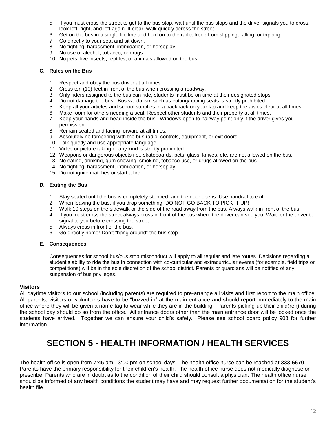- 5. If you must cross the street to get to the bus stop, wait until the bus stops and the driver signals you to cross, look left, right, and left again. If clear, walk quickly across the street.
- 6. Get on the bus in a single file line and hold on to the rail to keep from slipping, falling, or tripping.
- 7. Go directly to your seat and sit down.
- 8. No fighting, harassment, intimidation, or horseplay.
- 9. No use of alcohol, tobacco, or drugs.
- 10. No pets, live insects, reptiles, or animals allowed on the bus.

#### **C. Rules on the Bus**

- 1. Respect and obey the bus driver at all times.
- 2. Cross ten (10) feet in front of the bus when crossing a roadway.
- 3. Only riders assigned to the bus can ride, students must be on time at their designated stops.
- 4. Do not damage the bus. Bus vandalism such as cutting/ripping seats is strictly prohibited.
- 5. Keep all your articles and school supplies in a backpack on your lap and keep the aisles clear at all times.
- 6. Make room for others needing a seat. Respect other students and their property at all times.
- 7. Keep your hands and head inside the bus. Windows open to halfway point only if the driver gives you permission.
- 8. Remain seated and facing forward at all times.
- 9. Absolutely no tampering with the bus radio, controls, equipment, or exit doors.
- 10. Talk quietly and use appropriate language.
- 11. Video or picture taking of any kind is strictly prohibited.
- 12. Weapons or dangerous objects i.e., skateboards, pets, glass, knives, etc. are not allowed on the bus.
- 13. No eating, drinking, gum chewing, smoking, tobacco use, or drugs allowed on the bus.
- 14. No fighting, harassment, intimidation, or horseplay.
- 15. Do not ignite matches or start a fire.

#### **D. Exiting the Bus**

- 1. Stay seated until the bus is completely stopped, and the door opens. Use handrail to exit.
- 2. When leaving the bus, if you drop something, DO NOT GO BACK TO PICK IT UP!
- 3. Walk 10 steps on the sidewalk or the side of the road away from the bus. Always walk in front of the bus.
- 4. If you must cross the street always cross in front of the bus where the driver can see you. Wait for the driver to signal to you before crossing the street.
- 5. Always cross in front of the bus.
- 6. Go directly home! Don't "hang around" the bus stop.

#### **E. Consequences**

Consequences for school bus/bus stop misconduct will apply to all regular and late routes. Decisions regarding a student's ability to ride the bus in connection with co-curricular and extracurricular events (for example, field trips or competitions) will be in the sole discretion of the school district. Parents or guardians will be notified of any suspension of bus privileges.

#### **Visitors**

All daytime visitors to our school (including parents) are required to pre-arrange all visits and first report to the main office. All parents, visitors or volunteers have to be "buzzed in" at the main entrance and should report immediately to the main office where they will be given a name tag to wear while they are in the building. Parents picking up their child(ren) during the school day should do so from the office. All entrance doors other than the main entrance door will be locked once the students have arrived. Together we can ensure your child's safety. Please see school board policy 903 for further information.

## **SECTION 5 - HEALTH INFORMATION / HEALTH SERVICES**

The health office is open from 7:45 am– 3:00 pm on school days. The health office nurse can be reached at **333-6670**. Parents have the primary responsibility for their children's health. The health office nurse does not medically diagnose or prescribe. Parents who are in doubt as to the condition of their child should consult a physician. The health office nurse should be informed of any health conditions the student may have and may request further documentation for the student's health file.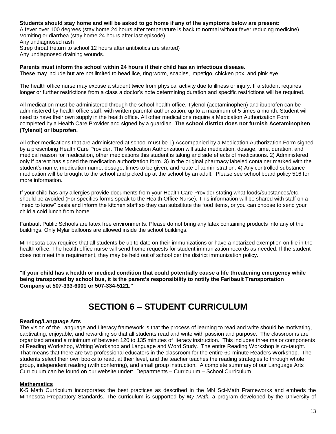#### **Students should stay home and will be asked to go home if any of the symptoms below are present:**

A fever over 100 degrees (stay home 24 hours after temperature is back to normal without fever reducing medicine) Vomiting or diarrhea (stay home 24 hours after last episode)

Any undiagnosed rash Strep throat (return to school 12 hours after antibiotics are started) Any undiagnosed draining wounds.

#### **Parents must inform the school within 24 hours if their child has an infectious disease.**

These may include but are not limited to head lice, ring worm, scabies, impetigo, chicken pox, and pink eye.

The health office nurse may excuse a student twice from physical activity due to illness or injury. If a student requires longer or further restrictions from a class a doctor's note determining duration and specific restrictions will be required.

All medication must be administered through the school health office. Tylenol (acetaminophen) and ibuprofen can be administered by health office staff, with written parental authorization, up to a maximum of 5 times a month. Student will need to have their own supply in the health office. All other medications require a Medication Authorization Form completed by a Health Care Provider and signed by a guardian. **The school district does not furnish Acetaminophen (Tylenol) or Ibuprofen.**

All other medications that are administered at school must be 1) Accompanied by a Medication Authorization Form signed by a prescribing Health Care Provider. The Medication Authorization will state medication, dosage, time, duration, and medical reason for medication, other medications this student is taking and side effects of medications. 2) Administered only if parent has signed the medication authorization form. 3) In the original pharmacy labeled container marked with the student's name, medication name, dosage, times to be given, and route of administration. 4) Any controlled substance medication will be brought to the school and picked up at the school by an adult. Please see school board policy 516 for more information.

If your child has any allergies provide documents from your Health Care Provider stating what foods/substances/etc. should be avoided (For specifics forms speak to the Health Office Nurse). This information will be shared with staff on a "need to know" basis and inform the kitchen staff so they can substitute the food items, or you can choose to send your child a cold lunch from home.

Faribault Public Schools are latex free environments. Please do not bring any latex containing products into any of the buildings. Only Mylar balloons are allowed inside the school buildings.

Minnesota Law requires that all students be up to date on their immunizations or have a notarized exemption on file in the health office. The health office nurse will send home requests for student immunization records as needed. If the student does not meet this requirement, they may be held out of school per the district immunization policy.

**"If your child has a health or medical condition that could potentially cause a life threatening emergency while being transported by school bus, it is the parent's responsibility to notify the Faribault Transportation Company at 507-333-6001 or 507-334-5121."**

## **SECTION 6 – STUDENT CURRICULUM**

#### **Reading/Language Arts**

The vision of the Language and Literacy framework is that the process of learning to read and write should be motivating, captivating, enjoyable, and rewarding so that all students read and write with passion and purpose. The classrooms are organized around a minimum of between 120 to 135 minutes of literacy instruction. This includes three major components of Reading Workshop, Writing Workshop and Language and Word Study. The entire Reading Workshop is co-taught. That means that there are two professional educators in the classroom for the entire 60-minute Readers Workshop. The students select their own books to read, at their level, and the teacher teaches the reading strategies to through whole group, independent reading (with conferring), and small group instruction. A complete summary of our Language Arts Curriculum can be found on our website under: Departments – Curriculum – School Curriculum.

#### **Mathematics**

K-5 Math Curriculum incorporates the best practices as described in the MN Sci-Math Frameworks and embeds the Minnesota Preparatory Standards. The curriculum is supported by *My Math,* a program developed by the University of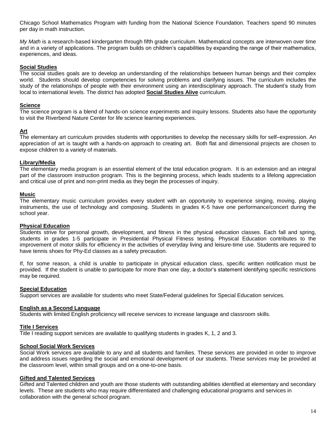Chicago School Mathematics Program with funding from the National Science Foundation. Teachers spend 90 minutes per day in math instruction.

*My Math* is a research-based kindergarten through fifth grade curriculum. Mathematical concepts are interwoven over time and in a variety of applications. The program builds on children's capabilities by expanding the range of their mathematics, experiences, and ideas.

#### **Social Studies**

The social studies goals are to develop an understanding of the relationships between human beings and their complex world. Students should develop competencies for solving problems and clarifying issues. The curriculum includes the study of the relationships of people with their environment using an interdisciplinary approach. The student's study from local to international levels. The district has adopted **Social Studies Alive** curriculum.

#### **Science**

The science program is a blend of hands-on science experiments and inquiry lessons. Students also have the opportunity to visit the Riverbend Nature Center for life science learning experiences.

#### **Art**

The elementary art curriculum provides students with opportunities to develop the necessary skills for self–expression. An appreciation of art is taught with a hands-on approach to creating art. Both flat and dimensional projects are chosen to expose children to a variety of materials.

#### **Library/Media**

The elementary media program is an essential element of the total education program. It is an extension and an integral part of the classroom instruction program. This is the beginning process, which leads students to a lifelong appreciation and critical use of print and non-print media as they begin the processes of inquiry.

#### **Music**

The elementary music curriculum provides every student with an opportunity to experience singing, moving, playing instruments, the use of technology and composing. Students in grades K-5 have one performance/concert during the school year.

#### **Physical Education**

Students strive for personal growth, development, and fitness in the physical education classes. Each fall and spring, students in grades 1-5 participate in Presidential Physical Fitness testing. Physical Education contributes to the improvement of motor skills for efficiency in the activities of everyday living and leisure-time use. Students are required to have tennis shoes for Phy-Ed classes as a safety precaution.

If, for some reason, a child is unable to participate in physical education class, specific written notification must be provided. If the student is unable to participate for more than one day, a doctor's statement identifying specific restrictions may be required.

#### **Special Education**

Support services are available for students who meet State/Federal guidelines for Special Education services.

#### **English as a Second Language**

Students with limited English proficiency will receive services to increase language and classroom skills.

#### **Title I Services**

Title I reading support services are available to qualifying students in grades K, 1, 2 and 3.

#### **School Social Work Services**

Social Work services are available to any and all students and families. These services are provided in order to improve and address issues regarding the social and emotional development of our students. These services may be provided at the classroom level, within small groups and on a one-to-one basis.

#### **Gifted and Talented Services**

Gifted and Talented children and youth are those students with outstanding abilities identified at elementary and secondary levels. These are students who may require differentiated and challenging educational programs and services in collaboration with the general school program.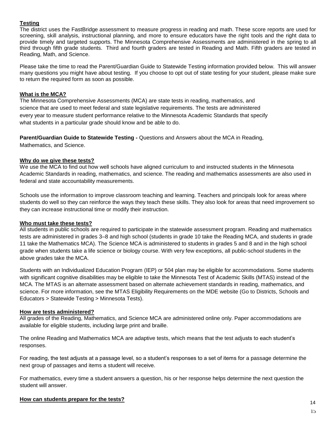#### **Testing**

The district uses the FastBridge assessment to measure progress in reading and math. These score reports are used for screening, skill analysis, instructional planning, and more to ensure educators have the right tools and the right data to provide timely and targeted supports. The Minnesota Comprehensive Assessments are administered in the spring to all third through fifth grade students. Third and fourth graders are tested in Reading and Math. Fifth graders are tested in Reading, Math, and Science.

Please take the time to read the Parent/Guardian Guide to Statewide Testing information provided below. This will answer many questions you might have about testing. If you choose to opt out of state testing for your student, please make sure to return the required form as soon as possible.

#### **What is the MCA?**

The Minnesota Comprehensive Assessments (MCA) are state tests in reading, mathematics, and science that are used to meet federal and state legislative requirements. The tests are administered every year to measure student performance relative to the Minnesota Academic Standards that specify what students in a particular grade should know and be able to do.

**Parent/Guardian Guide to Statewide Testing -** Questions and Answers about the MCA in Reading, Mathematics, and Science.

#### **Why do we give these tests?**

We use the MCA to find out how well schools have aligned curriculum to and instructed students in the Minnesota Academic Standards in reading, mathematics, and science. The reading and mathematics assessments are also used in federal and state accountability measurements.

Schools use the information to improve classroom teaching and learning. Teachers and principals look for areas where students do well so they can reinforce the ways they teach these skills. They also look for areas that need improvement so they can increase instructional time or modify their instruction.

#### **Who must take these tests?**

All students in public schools are required to participate in the statewide assessment program. Reading and mathematics tests are administered in grades 3–8 and high school (students in grade 10 take the Reading MCA, and students in grade 11 take the Mathematics MCA). The Science MCA is administered to students in grades 5 and 8 and in the high school grade when students take a life science or biology course. With very few exceptions, all public-school students in the above grades take the MCA.

Students with an Individualized Education Program (IEP) or 504 plan may be eligible for accommodations. Some students with significant cognitive disabilities may be eligible to take the Minnesota Test of Academic Skills (MTAS) instead of the MCA. The MTAS is an alternate assessment based on alternate achievement standards in reading, mathematics, and science. For more information, see the [MTAS Eligibility Requirements on the MDE](http://education.state.mn.us/MDE/dse/test/mn/) [website \(](http://education.state.mn.us/MDE/dse/test/mn/)Go to Districts, Schools and Educators > Statewide Testing > Minnesota Tests).

#### **How are tests administered?**

All grades of the Reading, Mathematics, and Science MCA are administered online only. Paper accommodations are available for eligible students, including large print and braille.

The online Reading and Mathematics MCA are adaptive tests, which means that the test adjusts to each student's responses.

For reading, the test adjusts at a passage level, so a student's responses to a set of items for a passage determine the next group of passages and items a student will receive.

For mathematics, every time a student answers a question, his or her response helps determine the next question the student will answer.

#### **How can students prepare for the tests?** 14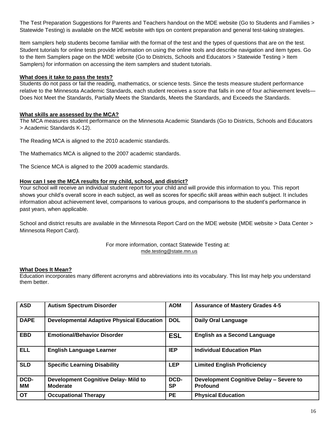The [Test Preparation Suggestions for Parents and Teachers handout on the MDE website \(](http://education.state.mn.us/MDE/fam/tests/)Go to Students and Families > Statewide Testing) is available on the MDE website with tips on content preparation and general test-taking strategies.

Item samplers help students become familiar with the format of the test and the types of questions that are on the test. Student tutorials for online tests provide information on using the online tools and describe navigation and item types. Go to the [Item Samplers page on the MDE website \(](http://education.state.mn.us/MDE/dse/test/item/)Go to Districts, Schools and Educators > Statewide Testing > Item Samplers) for information on accessing the item samplers and student tutorials.

#### **What does it take to pass the tests?**

Students do not pass or fail the reading, mathematics, or science tests. Since the tests measure student performance relative to the Minnesota Academic Standards, each student receives a score that falls in one of four achievement levels— Does Not Meet the Standards, Partially Meets the Standards, Meets the Standards, and Exceeds the Standards.

#### **What skills are assessed by the MCA?**

The MCA measures student performance on the [Minnesota Academic Standards \(](http://education.state.mn.us/MDE/dse/stds/)Go to Districts, Schools and Educators > Academic Standards K-12).

The Reading MCA is aligned to the 2010 academic standards.

The Mathematics MCA is aligned to the 2007 academic standards.

The Science MCA is aligned to the 2009 academic standards.

#### **How can I see the MCA results for my child, school, and district?**

Your school will receive an individual student report for your child and will provide this information to you. This report shows your child's overall score in each subject, as well as scores for specific skill areas within each subject. It includes information about achievement level, comparisons to various groups, and comparisons to the student's performance in past years, when applicable.

School and district results are available in the [Minnesota Report Card on the MDE website \(](http://rc.education.state.mn.us/)MDE website > Data Center > Minnesota Report Card).

#### For more information, contact Statewide Testing at: [mde.testing@state.mn.us](mailto:mde.testing@state.mn.us)

#### **What Does It Mean?**

Education incorporates many different acronyms and abbreviations into its vocabulary. This list may help you understand them better.

| <b>ASD</b>  | <b>Autism Spectrum Disorder</b>                         | <b>AOM</b>        | <b>Assurance of Mastery Grades 4-5</b>                     |
|-------------|---------------------------------------------------------|-------------------|------------------------------------------------------------|
| <b>DAPE</b> | <b>Developmental Adaptive Physical Education</b>        | <b>DOL</b>        | <b>Daily Oral Language</b>                                 |
| <b>EBD</b>  | <b>Emotional/Behavior Disorder</b>                      | <b>ESL</b>        | <b>English as a Second Language</b>                        |
| <b>ELL</b>  | <b>English Language Learner</b>                         | <b>IEP</b>        | <b>Individual Education Plan</b>                           |
| <b>SLD</b>  | <b>Specific Learning Disability</b>                     | <b>LEP</b>        | <b>Limited English Proficiency</b>                         |
| DCD-<br>MМ  | <b>Development Cognitive Delay- Mild to</b><br>Moderate | DCD-<br><b>SP</b> | Development Cognitive Delay - Severe to<br><b>Profound</b> |
| <b>OT</b>   | <b>Occupational Therapy</b>                             | <b>PE</b>         | <b>Physical Education</b>                                  |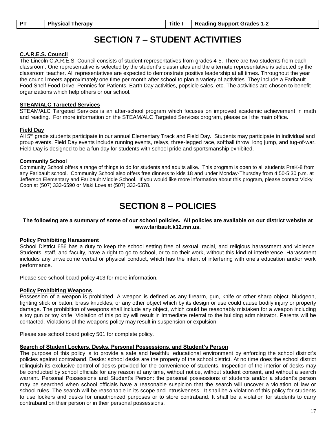## **SECTION 7 – STUDENT ACTIVITIES**

#### **C.A.R.E.S. Council**

The Lincoln C.A.R.E.S. Council consists of student representatives from grades 4-5. There are two students from each classroom. One representative is selected by the student's classmates and the alternate representative is selected by the classroom teacher. All representatives are expected to demonstrate positive leadership at all times. Throughout the year the council meets approximately one time per month after school to plan a variety of activities. They include a Faribault Food Shelf Food Drive, Pennies for Patients, Earth Day activities, popsicle sales, etc. The activities are chosen to benefit organizations which help others or our school.

#### **STEAM/ALC Targeted Services**

STEAM/ALC Targeted Services is an after-school program which focuses on improved academic achievement in math and reading. For more information on the STEAM/ALC Targeted Services program, please call the main office.

#### **Field Day**

All 5<sup>th</sup> grade students participate in our annual Elementary Track and Field Day. Students may participate in individual and group events. Field Day events include running events, relays, three-legged race, softball throw, long jump, and tug-of-war. Field Day is designed to be a fun day for students with school pride and sportsmanship exhibited.

#### **Community School**

Community School offers a range of things to do for students and adults alike. This program is open to all students PreK-8 from any Faribault school. Community School also offers free dinners to kids 18 and under Monday-Thursday from 4:50-5:30 p.m. at Jefferson Elementary and Faribault Middle School. If you would like more information about this program, please contact Vicky Coon at (507) 333-6590 or Maki Love at (507) 333-6378.

## **SECTION 8 – POLICIES**

#### **The following are a summary of some of our school policies. All policies are available on our district website at www.faribault.k12.mn.us.**

#### **Policy Prohibiting Harassment**

School District 656 has a duty to keep the school setting free of sexual, racial, and religious harassment and violence. Students, staff, and faculty, have a right to go to school, or to do their work, without this kind of interference. Harassment includes any unwelcome verbal or physical conduct, which has the intent of interfering with one's education and/or work performance.

Please see school board policy 413 for more information.

#### **Policy Prohibiting Weapons**

Possession of a weapon is prohibited. A weapon is defined as any firearm, gun, knife or other sharp object, bludgeon, fighting stick or baton, brass knuckles, or any other object which by its design or use could cause bodily injury or property damage. The prohibition of weapons shall include any object, which could be reasonably mistaken for a weapon including a toy gun or toy knife. Violation of this policy will result in immediate referral to the building administrator. Parents will be contacted. Violations of the weapons policy may result in suspension or expulsion.

Please see school board policy 501 for complete policy.

#### **Search of Student Lockers, Desks, Personal Possessions, and Student's Person**

The purpose of this policy is to provide a safe and healthful educational environment by enforcing the school district's policies against contraband. Desks: school desks are the property of the school district. At no time does the school district relinquish its exclusive control of desks provided for the convenience of students. Inspection of the interior of desks may be conducted by school officials for any reason at any time, without notice, without student consent, and without a search warrant. Personal Possessions and Student's Person: the personal possessions of students and/or a student's person may be searched when school officials have a reasonable suspicion that the search will uncover a violation of law or school rules. The search will be reasonable in its scope and intrusiveness. It shall be a violation of this policy for students to use lockers and desks for unauthorized purposes or to store contraband. It shall be a violation for students to carry contraband on their person or in their personal possessions.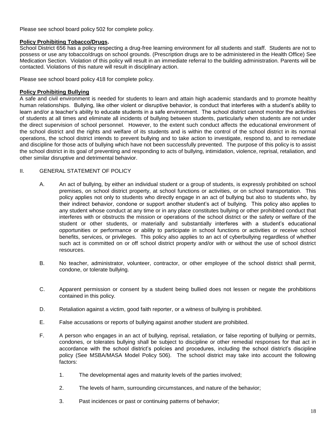Please see school board policy 502 for complete policy.

#### **Policy Prohibiting Tobacco/Drugs.**

School District 656 has a policy respecting a drug-free learning environment for all students and staff. Students are not to possess or use any tobacco/drugs on school grounds. (Prescription drugs are to be administered in the Health Office) See Medication Section. Violation of this policy will result in an immediate referral to the building administration. Parents will be contacted. Violations of this nature will result in disciplinary action.

Please see school board policy 418 for complete policy.

#### **Policy Prohibiting Bullying**

A safe and civil environment is needed for students to learn and attain high academic standards and to promote healthy human relationships. Bullying, like other violent or disruptive behavior, is conduct that interferes with a student's ability to learn and/or a teacher's ability to educate students in a safe environment. The school district cannot monitor the activities of students at all times and eliminate all incidents of bullying between students, particularly when students are not under the direct supervision of school personnel. However, to the extent such conduct affects the educational environment of the school district and the rights and welfare of its students and is within the control of the school district in its normal operations, the school district intends to prevent bullying and to take action to investigate, respond to, and to remediate and discipline for those acts of bullying which have not been successfully prevented. The purpose of this policy is to assist the school district in its goal of preventing and responding to acts of bullying, intimidation, violence, reprisal, retaliation, and other similar disruptive and detrimental behavior.

#### II. GENERAL STATEMENT OF POLICY

- A. An act of bullying, by either an individual student or a group of students, is expressly prohibited on school premises, on school district property, at school functions or activities, or on school transportation. This policy applies not only to students who directly engage in an act of bullying but also to students who, by their indirect behavior, condone or support another student's act of bullying. This policy also applies to any student whose conduct at any time or in any place constitutes bullying or other prohibited conduct that interferes with or obstructs the mission or operations of the school district or the safety or welfare of the student or other students, or materially and substantially interferes with a student's educational opportunities or performance or ability to participate in school functions or activities or receive school benefits, services, or privileges. This policy also applies to an act of cyberbullying regardless of whether such act is committed on or off school district property and/or with or without the use of school district resources.
- B. No teacher, administrator, volunteer, contractor, or other employee of the school district shall permit, condone, or tolerate bullying.
- C. Apparent permission or consent by a student being bullied does not lessen or negate the prohibitions contained in this policy.
- D. Retaliation against a victim, good faith reporter, or a witness of bullying is prohibited.
- E. False accusations or reports of bullying against another student are prohibited.
- F. A person who engages in an act of bullying, reprisal, retaliation, or false reporting of bullying or permits, condones, or tolerates bullying shall be subject to discipline or other remedial responses for that act in accordance with the school district's policies and procedures, including the school district's discipline policy (See MSBA/MASA Model Policy 506). The school district may take into account the following factors:
	- 1. The developmental ages and maturity levels of the parties involved;
	- 2. The levels of harm, surrounding circumstances, and nature of the behavior;
	- 3. Past incidences or past or continuing patterns of behavior;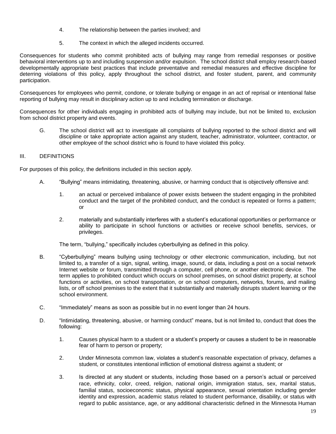- 4. The relationship between the parties involved; and
- 5. The context in which the alleged incidents occurred.

Consequences for students who commit prohibited acts of bullying may range from remedial responses or positive behavioral interventions up to and including suspension and/or expulsion. The school district shall employ research-based developmentally appropriate best practices that include preventative and remedial measures and effective discipline for deterring violations of this policy, apply throughout the school district, and foster student, parent, and community participation.

Consequences for employees who permit, condone, or tolerate bullying or engage in an act of reprisal or intentional false reporting of bullying may result in disciplinary action up to and including termination or discharge.

Consequences for other individuals engaging in prohibited acts of bullying may include, but not be limited to, exclusion from school district property and events.

G. The school district will act to investigate all complaints of bullying reported to the school district and will discipline or take appropriate action against any student, teacher, administrator, volunteer, contractor, or other employee of the school district who is found to have violated this policy.

#### III. DEFINITIONS

For purposes of this policy, the definitions included in this section apply.

- A. "Bullying" means intimidating, threatening, abusive, or harming conduct that is objectively offensive and:
	- 1. an actual or perceived imbalance of power exists between the student engaging in the prohibited conduct and the target of the prohibited conduct, and the conduct is repeated or forms a pattern; or
	- 2. materially and substantially interferes with a student's educational opportunities or performance or ability to participate in school functions or activities or receive school benefits, services, or privileges.

The term, "bullying," specifically includes cyberbullying as defined in this policy.

- B. "Cyberbullying" means bullying using technology or other electronic communication, including, but not limited to, a transfer of a sign, signal, writing, image, sound, or data, including a post on a social network Internet website or forum, transmitted through a computer, cell phone, or another electronic device. The term applies to prohibited conduct which occurs on school premises, on school district property, at school functions or activities, on school transportation, or on school computers, networks, forums, and mailing lists, or off school premises to the extent that it substantially and materially disrupts student learning or the school environment.
- C. "Immediately" means as soon as possible but in no event longer than 24 hours.
- D. "Intimidating, threatening, abusive, or harming conduct" means, but is not limited to, conduct that does the following:
	- 1. Causes physical harm to a student or a student's property or causes a student to be in reasonable fear of harm to person or property;
	- 2. Under Minnesota common law, violates a student's reasonable expectation of privacy, defames a student, or constitutes intentional infliction of emotional distress against a student; or
	- 3. Is directed at any student or students, including those based on a person's actual or perceived race, ethnicity, color, creed, religion, national origin, immigration status, sex, marital status, familial status, socioeconomic status, physical appearance, sexual orientation including gender identity and expression, academic status related to student performance, disability, or status with regard to public assistance, age, or any additional characteristic defined in the Minnesota Human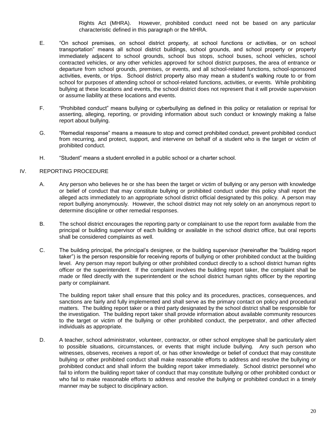Rights Act (MHRA). However, prohibited conduct need not be based on any particular characteristic defined in this paragraph or the MHRA.

- E. "On school premises, on school district property, at school functions or activities, or on school transportation" means all school district buildings, school grounds, and school property or property immediately adjacent to school grounds, school bus stops, school buses, school vehicles, school contracted vehicles, or any other vehicles approved for school district purposes, the area of entrance or departure from school grounds, premises, or events, and all school-related functions, school-sponsored activities, events, or trips. School district property also may mean a student's walking route to or from school for purposes of attending school or school-related functions, activities, or events. While prohibiting bullying at these locations and events, the school district does not represent that it will provide supervision or assume liability at these locations and events.
- F. "Prohibited conduct" means bullying or cyberbullying as defined in this policy or retaliation or reprisal for asserting, alleging, reporting, or providing information about such conduct or knowingly making a false report about bullying.
- G. "Remedial response" means a measure to stop and correct prohibited conduct, prevent prohibited conduct from recurring, and protect, support, and intervene on behalf of a student who is the target or victim of prohibited conduct.
- H. "Student" means a student enrolled in a public school or a charter school.

#### IV. REPORTING PROCEDURE

- A. Any person who believes he or she has been the target or victim of bullying or any person with knowledge or belief of conduct that may constitute bullying or prohibited conduct under this policy shall report the alleged acts immediately to an appropriate school district official designated by this policy. A person may report bullying anonymously. However, the school district may not rely solely on an anonymous report to determine discipline or other remedial responses.
- B. The school district encourages the reporting party or complainant to use the report form available from the principal or building supervisor of each building or available in the school district office, but oral reports shall be considered complaints as well.
- C. The building principal, the principal's designee, or the building supervisor (hereinafter the "building report taker") is the person responsible for receiving reports of bullying or other prohibited conduct at the building level. Any person may report bullying or other prohibited conduct directly to a school district human rights officer or the superintendent. If the complaint involves the building report taker, the complaint shall be made or filed directly with the superintendent or the school district human rights officer by the reporting party or complainant.

The building report taker shall ensure that this policy and its procedures, practices, consequences, and sanctions are fairly and fully implemented and shall serve as the primary contact on policy and procedural matters. The building report taker or a third party designated by the school district shall be responsible for the investigation. The building report taker shall provide information about available community resources to the target or victim of the bullying or other prohibited conduct, the perpetrator, and other affected individuals as appropriate.

D. A teacher, school administrator, volunteer, contractor, or other school employee shall be particularly alert to possible situations, circumstances, or events that might include bullying. Any such person who witnesses, observes, receives a report of, or has other knowledge or belief of conduct that may constitute bullying or other prohibited conduct shall make reasonable efforts to address and resolve the bullying or prohibited conduct and shall inform the building report taker immediately. School district personnel who fail to inform the building report taker of conduct that may constitute bullying or other prohibited conduct or who fail to make reasonable efforts to address and resolve the bullying or prohibited conduct in a timely manner may be subject to disciplinary action.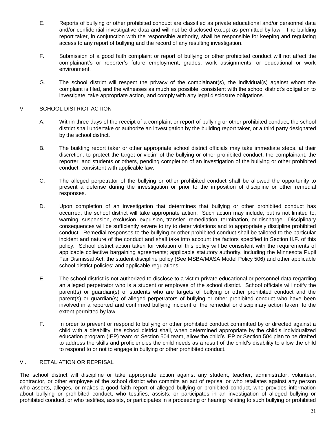- E. Reports of bullying or other prohibited conduct are classified as private educational and/or personnel data and/or confidential investigative data and will not be disclosed except as permitted by law. The building report taker, in conjunction with the responsible authority, shall be responsible for keeping and regulating access to any report of bullying and the record of any resulting investigation.
- F. Submission of a good faith complaint or report of bullying or other prohibited conduct will not affect the complainant's or reporter's future employment, grades, work assignments, or educational or work environment.
- G. The school district will respect the privacy of the complainant(s), the individual(s) against whom the complaint is filed, and the witnesses as much as possible, consistent with the school district's obligation to investigate, take appropriate action, and comply with any legal disclosure obligations.

#### V. SCHOOL DISTRICT ACTION

- A. Within three days of the receipt of a complaint or report of bullying or other prohibited conduct, the school district shall undertake or authorize an investigation by the building report taker, or a third party designated by the school district.
- B. The building report taker or other appropriate school district officials may take immediate steps, at their discretion, to protect the target or victim of the bullying or other prohibited conduct, the complainant, the reporter, and students or others, pending completion of an investigation of the bullying or other prohibited conduct, consistent with applicable law.
- C. The alleged perpetrator of the bullying or other prohibited conduct shall be allowed the opportunity to present a defense during the investigation or prior to the imposition of discipline or other remedial responses.
- D. Upon completion of an investigation that determines that bullying or other prohibited conduct has occurred, the school district will take appropriate action. Such action may include, but is not limited to, warning, suspension, exclusion, expulsion, transfer, remediation, termination, or discharge. Disciplinary consequences will be sufficiently severe to try to deter violations and to appropriately discipline prohibited conduct. Remedial responses to the bullying or other prohibited conduct shall be tailored to the particular incident and nature of the conduct and shall take into account the factors specified in Section II.F. of this policy. School district action taken for violation of this policy will be consistent with the requirements of applicable collective bargaining agreements; applicable statutory authority, including the Minnesota Pupil Fair Dismissal Act; the student discipline policy (See MSBA/MASA Model Policy 506) and other applicable school district policies; and applicable regulations.
- E. The school district is not authorized to disclose to a victim private educational or personnel data regarding an alleged perpetrator who is a student or employee of the school district. School officials will notify the parent(s) or guardian(s) of students who are targets of bullying or other prohibited conduct and the parent(s) or guardian(s) of alleged perpetrators of bullying or other prohibited conduct who have been involved in a reported and confirmed bullying incident of the remedial or disciplinary action taken, to the extent permitted by law.
- F. In order to prevent or respond to bullying or other prohibited conduct committed by or directed against a child with a disability, the school district shall, when determined appropriate by the child's individualized education program (IEP) team or Section 504 team, allow the child's IEP or Section 504 plan to be drafted to address the skills and proficiencies the child needs as a result of the child's disability to allow the child to respond to or not to engage in bullying or other prohibited conduct.

#### VI. RETALIATION OR REPRISAL

The school district will discipline or take appropriate action against any student, teacher, administrator, volunteer, contractor, or other employee of the school district who commits an act of reprisal or who retaliates against any person who asserts, alleges, or makes a good faith report of alleged bullying or prohibited conduct, who provides information about bullying or prohibited conduct, who testifies, assists, or participates in an investigation of alleged bullying or prohibited conduct, or who testifies, assists, or participates in a proceeding or hearing relating to such bullying or prohibited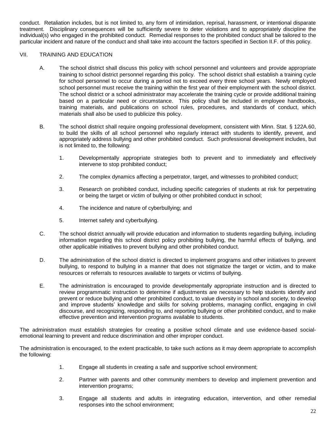conduct. Retaliation includes, but is not limited to, any form of intimidation, reprisal, harassment, or intentional disparate treatment. Disciplinary consequences will be sufficiently severe to deter violations and to appropriately discipline the individual(s) who engaged in the prohibited conduct. Remedial responses to the prohibited conduct shall be tailored to the particular incident and nature of the conduct and shall take into account the factors specified in Section II.F. of this policy.

#### VII. TRAINING AND EDUCATION

- A. The school district shall discuss this policy with school personnel and volunteers and provide appropriate training to school district personnel regarding this policy. The school district shall establish a training cycle for school personnel to occur during a period not to exceed every three school years. Newly employed school personnel must receive the training within the first year of their employment with the school district. The school district or a school administrator may accelerate the training cycle or provide additional training based on a particular need or circumstance. This policy shall be included in employee handbooks, training materials, and publications on school rules, procedures, and standards of conduct, which materials shall also be used to publicize this policy.
- B. The school district shall require ongoing professional development, consistent with Minn. Stat. § 122A.60, to build the skills of all school personnel who regularly interact with students to identify, prevent, and appropriately address bullying and other prohibited conduct. Such professional development includes, but is not limited to, the following:
	- 1. Developmentally appropriate strategies both to prevent and to immediately and effectively intervene to stop prohibited conduct;
	- 2. The complex dynamics affecting a perpetrator, target, and witnesses to prohibited conduct;
	- 3. Research on prohibited conduct, including specific categories of students at risk for perpetrating or being the target or victim of bullying or other prohibited conduct in school;
	- 4. The incidence and nature of cyberbullying; and
	- 5. Internet safety and cyberbullying.
- C. The school district annually will provide education and information to students regarding bullying, including information regarding this school district policy prohibiting bullying, the harmful effects of bullying, and other applicable initiatives to prevent bullying and other prohibited conduct.
- D. The administration of the school district is directed to implement programs and other initiatives to prevent bullying, to respond to bullying in a manner that does not stigmatize the target or victim, and to make resources or referrals to resources available to targets or victims of bullying.
- E. The administration is encouraged to provide developmentally appropriate instruction and is directed to review programmatic instruction to determine if adjustments are necessary to help students identify and prevent or reduce bullying and other prohibited conduct, to value diversity in school and society, to develop and improve students' knowledge and skills for solving problems, managing conflict, engaging in civil discourse, and recognizing, responding to, and reporting bullying or other prohibited conduct, and to make effective prevention and intervention programs available to students.

The administration must establish strategies for creating a positive school climate and use evidence-based socialemotional learning to prevent and reduce discrimination and other improper conduct.

The administration is encouraged, to the extent practicable, to take such actions as it may deem appropriate to accomplish the following:

- 1. Engage all students in creating a safe and supportive school environment;
- 2. Partner with parents and other community members to develop and implement prevention and intervention programs;
- 3. Engage all students and adults in integrating education, intervention, and other remedial responses into the school environment;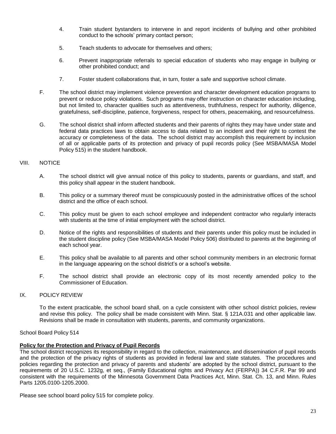- 4. Train student bystanders to intervene in and report incidents of bullying and other prohibited conduct to the schools' primary contact person;
- 5. Teach students to advocate for themselves and others;
- 6. Prevent inappropriate referrals to special education of students who may engage in bullying or other prohibited conduct; and
- 7. Foster student collaborations that, in turn, foster a safe and supportive school climate.
- F. The school district may implement violence prevention and character development education programs to prevent or reduce policy violations. Such programs may offer instruction on character education including, but not limited to, character qualities such as attentiveness, truthfulness, respect for authority, diligence, gratefulness, self-discipline, patience, forgiveness, respect for others, peacemaking, and resourcefulness.
- G. The school district shall inform affected students and their parents of rights they may have under state and federal data practices laws to obtain access to data related to an incident and their right to contest the accuracy or completeness of the data. The school district may accomplish this requirement by inclusion of all or applicable parts of its protection and privacy of pupil records policy (See MSBA/MASA Model Policy 515) in the student handbook.

#### VIII. NOTICE

- A. The school district will give annual notice of this policy to students, parents or guardians, and staff, and this policy shall appear in the student handbook.
- B. This policy or a summary thereof must be conspicuously posted in the administrative offices of the school district and the office of each school.
- C. This policy must be given to each school employee and independent contractor who regularly interacts with students at the time of initial employment with the school district.
- D. Notice of the rights and responsibilities of students and their parents under this policy must be included in the student discipline policy (See MSBA/MASA Model Policy 506) distributed to parents at the beginning of each school year.
- E. This policy shall be available to all parents and other school community members in an electronic format in the language appearing on the school district's or a school's website.
- F. The school district shall provide an electronic copy of its most recently amended policy to the Commissioner of Education.

#### IX. POLICY REVIEW

To the extent practicable, the school board shall, on a cycle consistent with other school district policies, review and revise this policy. The policy shall be made consistent with Minn. Stat. § 121A.031 and other applicable law. Revisions shall be made in consultation with students, parents, and community organizations.

#### School Board Policy 514

#### **Policy for the Protection and Privacy of Pupil Records**

The school district recognizes its responsibility in regard to the collection, maintenance, and dissemination of pupil records and the protection of the privacy rights of students as provided in federal law and state statutes. The procedures and policies regarding the protection and privacy of parents and students' are adopted by the school district, pursuant to the requirements of 20 U.S.C. 1232g, et seq., (Family Educational rights and Privacy Act (FERPA)) 34 C.F.R. Par 99 and consistent with the requirements of the Minnesota Government Data Practices Act, Minn. Stat. Ch. 13, and Minn. Rules Parts 1205.0100-1205.2000.

Please see school board policy 515 for complete policy.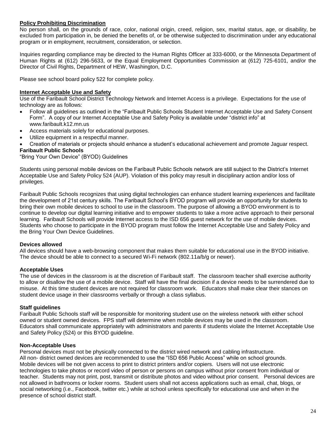#### **Policy Prohibiting Discrimination**

No person shall, on the grounds of race, color, national origin, creed, religion, sex, marital status, age, or disability, be excluded from participation in, be denied the benefits of, or be otherwise subjected to discrimination under any educational program or in employment, recruitment, consideration, or selection.

Inquiries regarding compliance may be directed to the Human Rights Officer at 333-6000, or the Minnesota Department of Human Rights at (612) 296-5633, or the Equal Employment Opportunities Commission at (612) 725-6101, and/or the Director of Civil Rights, Department of HEW, Washington, D.C.

Please see school board policy 522 for complete policy.

#### **Internet Acceptable Use and Safety**

Use of the Faribault School District Technology Network and Internet Access is a privilege. Expectations for the use of technology are as follows:

- Follow all guidelines as outlined in the "Faribault Public Schools Student Internet Acceptable Use and Safety Consent Form". A copy of our Internet Acceptable Use and Safety Policy is available under "district info" at www.faribault.k12.mn.us
- Access materials solely for educational purposes.
- Utilize equipment in a respectful manner.

Creation of materials or projects should enhance a student's educational achievement and promote Jaguar respect.

#### **Faribault Public Schools**

"Bring Your Own Device" (BYOD) Guidelines

Students using personal mobile devices on the Faribault Public Schools network are still subject to the District's Internet Acceptable Use and Safety Policy 524 (AUP). Violation of this policy may result in disciplinary action and/or loss of privileges.

Faribault Public Schools recognizes that using digital technologies can enhance student learning experiences and facilitate the development of 21st century skills. The Faribault School's BYOD program will provide an opportunity for students to bring their own mobile devices to school to use in the classroom. The purpose of allowing a BYOD environment is to continue to develop our digital learning initiative and to empower students to take a more active approach to their personal learning. Faribault Schools will provide Internet access to the ISD 656 guest network for the use of mobile devices. Students who choose to participate in the BYOD program must follow the Internet Acceptable Use and Safety Policy and the Bring Your Own Device Guidelines.

#### **Devices allowed**

All devices should have a web-browsing component that makes them suitable for educational use in the BYOD initiative. The device should be able to connect to a secured Wi-Fi network (802.11a/b/g or newer).

#### **Acceptable Uses**

The use of devices in the classroom is at the discretion of Faribault staff. The classroom teacher shall exercise authority to allow or disallow the use of a mobile device. Staff will have the final decision if a device needs to be surrendered due to misuse. At this time student devices are not required for classroom work. Educators shall make clear their stances on student device usage in their classrooms verbally or through a class syllabus.

#### **Staff guidelines**

Faribault Public Schools staff will be responsible for monitoring student use on the wireless network with either school owned or student owned devices. FPS staff will determine when mobile devices may be used in the classroom. Educators shall communicate appropriately with administrators and parents if students violate the Internet Acceptable Use and Safety Policy (524) or this BYOD guideline.

#### **Non-Acceptable Uses**

Personal devices must not be physically connected to the district wired network and cabling infrastructure. All non- district owned devices are recommended to use the "ISD 656 Public Access" while on school grounds. Mobile devices will be not given access to print to district printers and/or copiers. Users will not use electronic technologies to take photos or record video of person or persons on campus without prior consent from individual or teacher. Students may not print, post, transmit or distribute photos and video without prior consent. Personal devices are not allowed in bathrooms or locker rooms. Student users shall not access applications such as email, chat, blogs, or social networking (i.e., Facebook, twitter etc.) while at school unless specifically for educational use and when in the presence of school district staff.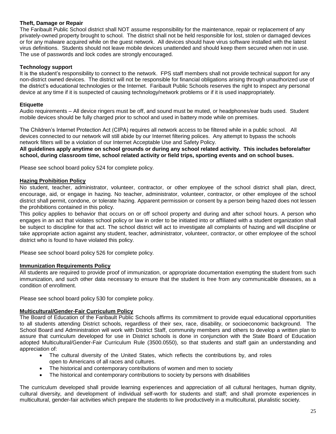#### **Theft, Damage or Repair**

The Faribault Public School district shall NOT assume responsibility for the maintenance, repair or replacement of any privately-owned property brought to school. The district shall not be held responsible for lost, stolen or damaged devices or for any malware acquired while on the guest network. All devices should have virus software installed with the latest virus definitions. Students should not leave mobile devices unattended and should keep them secured when not in use. The use of passwords and lock codes are strongly encouraged.

#### **Technology support**

It is the student's responsibility to connect to the network. FPS staff members shall not provide technical support for any non-district owned devices. The district will not be responsible for financial obligations arising through unauthorized use of the district's educational technologies or the Internet. Faribault Public Schools reserves the right to inspect any personal device at any time if it is suspected of causing technology/network problems or if it is used inappropriately.

#### **Etiquette**

Audio requirements – All device ringers must be off, and sound must be muted, or headphones/ear buds used. Student mobile devices should be fully charged prior to school and used in battery mode while on premises.

The Children's Internet Protection Act (CIPA) requires all network access to be filtered while in a public school. All devices connected to our network will still abide by our Internet filtering polices. Any attempt to bypass the schools network filters will be a violation of our Internet Acceptable Use and Safety Policy.

**All guidelines apply anytime on school grounds or during any school related activity. This includes before/after school, during classroom time, school related activity or field trips, sporting events and on school buses.**

Please see school board policy 524 for complete policy.

#### **Hazing Prohibition Policy**

No student, teacher, administrator, volunteer, contractor, or other employee of the school district shall plan, direct, encourage, aid, or engage in hazing. No teacher, administrator, volunteer, contractor, or other employee of the school district shall permit, condone, or tolerate hazing. Apparent permission or consent by a person being hazed does not lessen the prohibitions contained in this policy.

This policy applies to behavior that occurs on or off school property and during and after school hours. A person who engages in an act that violates school policy or law in order to be initiated into or affiliated with a student organization shall be subject to discipline for that act. The school district will act to investigate all complaints of hazing and will discipline or take appropriate action against any student, teacher, administrator, volunteer, contractor, or other employee of the school district who is found to have violated this policy.

Please see school board policy 526 for complete policy.

#### **Immunization Requirements Policy**

All students are required to provide proof of immunization, or appropriate documentation exempting the student from such immunization, and such other data necessary to ensure that the student is free from any communicable diseases, as a condition of enrollment.

Please see school board policy 530 for complete policy.

#### **Multicultural/Gender-Fair Curriculum Policy**

The Board of Education of the Faribault Public Schools affirms its commitment to provide equal educational opportunities to all students attending District schools, regardless of their sex, race, disability, or socioeconomic background. The School Board and Administration will work with District Staff, community members and others to develop a written plan to assure that curriculum developed for use in District schools is done in conjunction with the State Board of Education adopted Multicultural/Gender-Fair Curriculum Rule (3500.0550), so that students and staff gain an understanding and appreciation of:

- The cultural diversity of the United States, which reflects the contributions by, and roles open to Americans of all races and cultures.
- The historical and contemporary contributions of women and men to society
- The historical and contemporary contributions to society by persons with disabilities

The curriculum developed shall provide learning experiences and appreciation of all cultural heritages, human dignity, cultural diversity, and development of individual self-worth for students and staff; and shall promote experiences in multicultural, gender-fair activities which prepare the students to live productively in a multicultural, pluralistic society.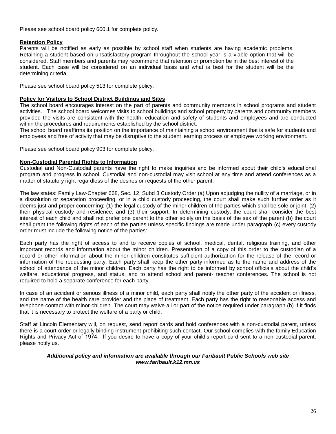Please see school board policy 600.1 for complete policy.

#### **Retention Policy**

Parents will be notified as early as possible by school staff when students are having academic problems. Retaining a student based on unsatisfactory program throughout the school year is a viable option that will be considered. Staff members and parents may recommend that retention or promotion be in the best interest of the student. Each case will be considered on an individual basis and what is best for the student will be the determining criteria.

Please see school board policy 513 for complete policy.

#### **Policy for Visitors to School District Buildings and Sites**

The school board encourages interest on the part of parents and community members in school programs and student activities. The school board welcomes visits to school buildings and school property by parents and community members provided the visits are consistent with the health, education and safety of students and employees and are conducted within the procedures and requirements established by the school district.

The school board reaffirms its position on the importance of maintaining a school environment that is safe for students and employees and free of activity that may be disruptive to the student learning process or employee working environment.

Please see school board policy 903 for complete policy.

#### **Non-Custodial Parental Rights to Information**

Custodial and Non-Custodial parents have the right to make inquiries and be informed about their child's educational program and progress in school. Custodial and non-custodial may visit school at any time and attend conferences as a matter of statutory right regardless of the desires or requests of the other parent.

The law states: Family Law-Chapter 668, Sec. 12, Subd 3 Custody Order (a) Upon adjudging the nullity of a marriage, or in a dissolution or separation proceeding, or in a child custody proceeding, the court shall make such further order as it deems just and proper concerning: (1) the legal custody of the minor children of the parties which shall be sole or joint; (2) their physical custody and residence; and (3) their support. In determining custody, the court shall consider the best interest of each child and shall not prefer one parent to the other solely on the basis of the sex of the parent (b) the court shall grant the following rights of each of the parties unless specific findings are made under paragraph (c) every custody order must include the following notice of the parties:

Each party has the right of access to and to receive copies of school, medical, dental, religious training, and other important records and information about the minor children. Presentation of a copy of this order to the custodian of a record or other information about the minor children constitutes sufficient authorization for the release of the record or information of the requesting party. Each party shall keep the other party informed as to the name and address of the school of attendance of the minor children. Each party has the right to be informed by school officials about the child's welfare, educational progress, and status, and to attend school and parent- teacher conferences. The school is not required to hold a separate conference for each party.

In case of an accident or serious illness of a minor child, each party shall notify the other party of the accident or illness, and the name of the health care provider and the place of treatment. Each party has the right to reasonable access and telephone contact with minor children. The court may waive all or part of the notice required under paragraph (b) if it finds that it is necessary to protect the welfare of a party or child.

Staff at Lincoln Elementary will, on request, send report cards and hold conferences with a non-custodial parent, unless there is a court order or legally binding instrument prohibiting such contact. Our school complies with the family Education Rights and Privacy Act of 1974. If you desire to have a copy of your child's report card sent to a non-custodial parent, please notify us.

#### *Additional policy and information are available through our Faribault Public Schools web site www.faribault.k12.mn.us*